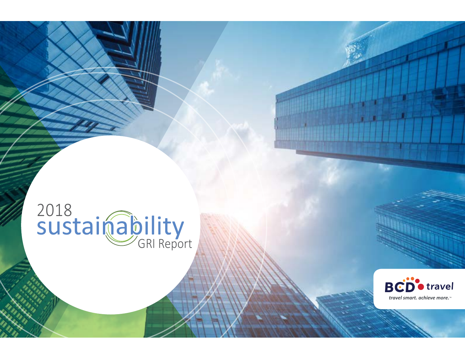## 2018 GRI Report



**Tangirin da k**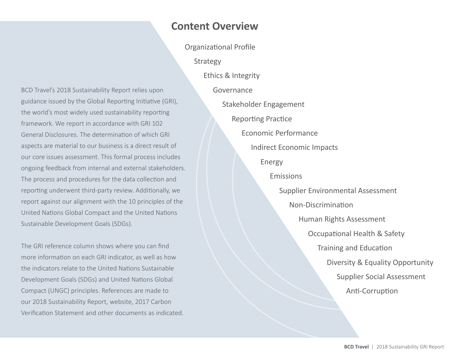## **Content Overview**

[Strategy](#page-5-0)

BCD Travel's 2018 Sustainability Report relies upon guidance issued by the Global Reporting Initiative (GRI), the world's most widely used sustainability reporting framework. We report in accordance with GRI 102 General Disclosures. The determination of which GRI aspects are material to our business is a direct result of our core issues assessment. This formal process includes ongoing feedback from internal and external stakeholders. The process and procedures for the data collection and reporting underwent third-party review. Additionally, we report against our alignment with the 10 principles of the United Nations Global Compact and the United Nations Sustainable Development Goals (SDGs).

The GRI reference column shows where you can find more information on each GRI indicator, as well as how the indicators relate to the United Nations Sustainable Development Goals (SDGs) and United Nations Global Compact (UNGC) principles. References are made to our 2018 Sustainability Report, website, 2017 Carbon Verification Statement and other documents as indicated.

[Organizational Profile](#page-2-0) [Ethics & Integrity](#page-5-0) [Governance](#page-6-0) [Stakeholder Engagement](#page-9-0) [Reporting Practice](#page-10-0) [Economic Performance](#page-11-0) [Indirect Economic Impacts](#page-11-0) [Energy](#page-12-0) [Emissions](#page-12-0) [Supplier Environmental Assessment](#page-14-0) [Non-Discrimination](#page-15-0) [Human Rights Assessment](#page-15-0) [Occupational Health & Safety](#page-15-0) [Training and Education](#page-16-0) [Diversity & Equality Opportunity](#page-17-0) [Supplier Social Assessment](#page-17-0) [Anti-Corruption](#page-18-0)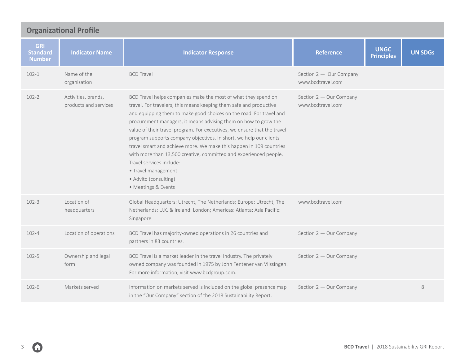<span id="page-2-0"></span>

| <b>Organizational Profile</b>                  |                                              |                                                                                                                                                                                                                                                                                                                                                                                                                                                                                                                                                                                                                                                                                 |                                              |                                  |                |  |  |  |
|------------------------------------------------|----------------------------------------------|---------------------------------------------------------------------------------------------------------------------------------------------------------------------------------------------------------------------------------------------------------------------------------------------------------------------------------------------------------------------------------------------------------------------------------------------------------------------------------------------------------------------------------------------------------------------------------------------------------------------------------------------------------------------------------|----------------------------------------------|----------------------------------|----------------|--|--|--|
| <b>GRI</b><br><b>Standard</b><br><b>Number</b> | <b>Indicator Name</b>                        | <b>Indicator Response</b>                                                                                                                                                                                                                                                                                                                                                                                                                                                                                                                                                                                                                                                       | <b>Reference</b>                             | <b>UNGC</b><br><b>Principles</b> | <b>UN SDGs</b> |  |  |  |
| $102 - 1$                                      | Name of the<br>organization                  | <b>BCD Travel</b>                                                                                                                                                                                                                                                                                                                                                                                                                                                                                                                                                                                                                                                               | Section 2 - Our Company<br>www.bcdtravel.com |                                  |                |  |  |  |
| $102 - 2$                                      | Activities, brands,<br>products and services | BCD Travel helps companies make the most of what they spend on<br>travel. For travelers, this means keeping them safe and productive<br>and equipping them to make good choices on the road. For travel and<br>procurement managers, it means advising them on how to grow the<br>value of their travel program. For executives, we ensure that the travel<br>program supports company objectives. In short, we help our clients<br>travel smart and achieve more. We make this happen in 109 countries<br>with more than 13,500 creative, committed and experienced people.<br>Travel services include:<br>· Travel management<br>• Advito (consulting)<br>• Meetings & Events | Section 2 - Our Company<br>www.bcdtravel.com |                                  |                |  |  |  |
| $102 - 3$                                      | Location of<br>headquarters                  | Global Headquarters: Utrecht, The Netherlands; Europe: Utrecht, The<br>Netherlands; U.K. & Ireland: London; Americas: Atlanta; Asia Pacific:<br>Singapore                                                                                                                                                                                                                                                                                                                                                                                                                                                                                                                       | www.bcdtravel.com                            |                                  |                |  |  |  |
| $102 - 4$                                      | Location of operations                       | BCD Travel has majority-owned operations in 26 countries and<br>partners in 83 countries.                                                                                                                                                                                                                                                                                                                                                                                                                                                                                                                                                                                       | Section 2 - Our Company                      |                                  |                |  |  |  |
| $102 - 5$                                      | Ownership and legal<br>form                  | BCD Travel is a market leader in the travel industry. The privately<br>owned company was founded in 1975 by John Fentener van Vlissingen.<br>For more information, visit www.bcdgroup.com.                                                                                                                                                                                                                                                                                                                                                                                                                                                                                      | Section 2 - Our Company                      |                                  |                |  |  |  |
| $102 - 6$                                      | Markets served                               | Information on markets served is included on the global presence map<br>in the "Our Company" section of the 2018 Sustainability Report.                                                                                                                                                                                                                                                                                                                                                                                                                                                                                                                                         | Section 2 - Our Company                      |                                  | 8              |  |  |  |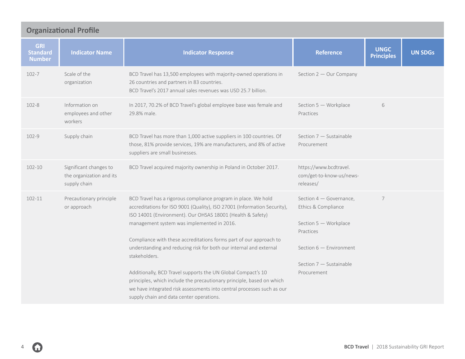| <b>Organizational Profile</b>                  |                                                                    |                                                                                                                                                                                                                                                             |                                                                                                                                                                                                                                                        |                                                                                      |                |  |  |
|------------------------------------------------|--------------------------------------------------------------------|-------------------------------------------------------------------------------------------------------------------------------------------------------------------------------------------------------------------------------------------------------------|--------------------------------------------------------------------------------------------------------------------------------------------------------------------------------------------------------------------------------------------------------|--------------------------------------------------------------------------------------|----------------|--|--|
| <b>GRI</b><br><b>Standard</b><br><b>Number</b> | <b>Indicator Name</b>                                              | <b>Indicator Response</b>                                                                                                                                                                                                                                   | <b>Reference</b>                                                                                                                                                                                                                                       | <b>UNGC</b><br><b>Principles</b>                                                     | <b>UN SDGs</b> |  |  |
| 102-7                                          | Scale of the<br>organization                                       | BCD Travel has 13,500 employees with majority-owned operations in<br>26 countries and partners in 83 countries.<br>BCD Travel's 2017 annual sales revenues was USD 25.7 billion.                                                                            | Section 2 - Our Company                                                                                                                                                                                                                                |                                                                                      |                |  |  |
| $102 - 8$                                      | Information on<br>employees and other<br>workers                   | In 2017, 70.2% of BCD Travel's global employee base was female and<br>29.8% male.                                                                                                                                                                           | Section 5 - Workplace<br>Practices                                                                                                                                                                                                                     | 6                                                                                    |                |  |  |
| 102-9                                          | Supply chain                                                       | BCD Travel has more than 1,000 active suppliers in 100 countries. Of<br>those, 81% provide services, 19% are manufacturers, and 8% of active<br>suppliers are small businesses.                                                                             | Section 7 - Sustainable<br>Procurement                                                                                                                                                                                                                 |                                                                                      |                |  |  |
| 102-10                                         | Significant changes to<br>the organization and its<br>supply chain | BCD Travel acquired majority ownership in Poland in October 2017.                                                                                                                                                                                           | https://www.bcdtravel.<br>com/get-to-know-us/news-<br>releases/                                                                                                                                                                                        |                                                                                      |                |  |  |
| 102-11                                         | Precautionary principle<br>or approach                             |                                                                                                                                                                                                                                                             | BCD Travel has a rigorous compliance program in place. We hold<br>accreditations for ISO 9001 (Quality), ISO 27001 (Information Security),<br>ISO 14001 (Environment). Our OHSAS 18001 (Health & Safety)<br>management system was implemented in 2016. | Section 4 - Governance,<br>Ethics & Compliance<br>Section 5 - Workplace<br>Practices | 7              |  |  |
|                                                |                                                                    | Compliance with these accreditations forms part of our approach to<br>understanding and reducing risk for both our internal and external<br>stakeholders.                                                                                                   | Section 6 - Environment<br>Section 7 - Sustainable                                                                                                                                                                                                     |                                                                                      |                |  |  |
|                                                |                                                                    | Additionally, BCD Travel supports the UN Global Compact's 10<br>principles, which include the precautionary principle, based on which<br>we have integrated risk assessments into central processes such as our<br>supply chain and data center operations. | Procurement                                                                                                                                                                                                                                            |                                                                                      |                |  |  |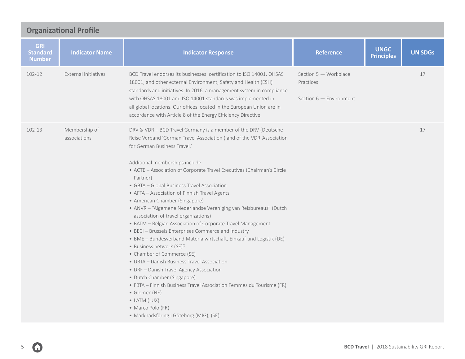| <b>Organizational Profile</b>                  |                               |                                                                                                                                                                                                                                                                                                                                                                                                                                                                                                                                                                                                                                                                                                                                                                                                                                                                                                                                                                                                                                                                                                                     |                                                                 |                                  |                |  |  |  |
|------------------------------------------------|-------------------------------|---------------------------------------------------------------------------------------------------------------------------------------------------------------------------------------------------------------------------------------------------------------------------------------------------------------------------------------------------------------------------------------------------------------------------------------------------------------------------------------------------------------------------------------------------------------------------------------------------------------------------------------------------------------------------------------------------------------------------------------------------------------------------------------------------------------------------------------------------------------------------------------------------------------------------------------------------------------------------------------------------------------------------------------------------------------------------------------------------------------------|-----------------------------------------------------------------|----------------------------------|----------------|--|--|--|
| <b>GRI</b><br><b>Standard</b><br><b>Number</b> | <b>Indicator Name</b>         | <b>Indicator Response</b>                                                                                                                                                                                                                                                                                                                                                                                                                                                                                                                                                                                                                                                                                                                                                                                                                                                                                                                                                                                                                                                                                           | <b>Reference</b>                                                | <b>UNGC</b><br><b>Principles</b> | <b>UN SDGs</b> |  |  |  |
| 102-12                                         | <b>External initiatives</b>   | BCD Travel endorses its businesses' certification to ISO 14001, OHSAS<br>18001, and other external Environment, Safety and Health (ESH)<br>standards and initiatives. In 2016, a management system in compliance<br>with OHSAS 18001 and ISO 14001 standards was implemented in<br>all global locations. Our offices located in the European Union are in<br>accordance with Article 8 of the Energy Efficiency Directive.                                                                                                                                                                                                                                                                                                                                                                                                                                                                                                                                                                                                                                                                                          | Section 5 - Workplace<br>Practices<br>Section $6$ - Environment |                                  | 17             |  |  |  |
| 102-13                                         | Membership of<br>associations | DRV & VDR - BCD Travel Germany is a member of the DRV (Deutsche<br>Reise Verband 'German Travel Association') and of the VDR 'Association<br>for German Business Travel.'<br>Additional memberships include:<br>• ACTE - Association of Corporate Travel Executives (Chairman's Circle<br>Partner)<br>• GBTA – Global Business Travel Association<br>• AFTA - Association of Finnish Travel Agents<br>• American Chamber (Singapore)<br>• ANVR - "Algemene Nederlandse Vereniging van Reisbureaus" (Dutch<br>association of travel organizations)<br>• BATM - Belgian Association of Corporate Travel Management<br>• BECI - Brussels Enterprises Commerce and Industry<br>· BME - Bundesverband Materialwirtschaft, Einkauf und Logistik (DE)<br>• Business network (SE)?<br>• Chamber of Commerce (SE)<br>• DBTA - Danish Business Travel Association<br>• DRF - Danish Travel Agency Association<br>• Dutch Chamber (Singapore)<br>• FBTA - Finnish Business Travel Association Femmes du Tourisme (FR)<br>• Glomex (NE)<br>$\bullet$ LATM (LUX)<br>• Marco Polo (FR)<br>· Marknadsföring i Göteborg (MIG), (SE) |                                                                 |                                  | 17             |  |  |  |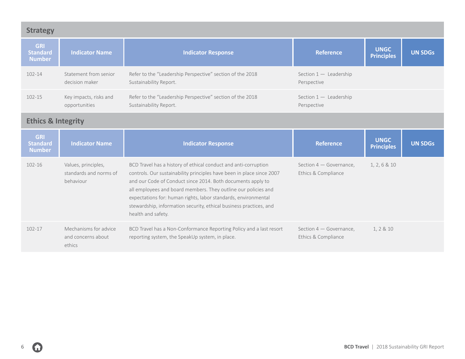<span id="page-5-0"></span>

| <b>Strategy</b>                                |                                                            |                                                                                                                                                                                                                                                                                                                                                                                                                                         |                                                |                                  |                |  |  |  |
|------------------------------------------------|------------------------------------------------------------|-----------------------------------------------------------------------------------------------------------------------------------------------------------------------------------------------------------------------------------------------------------------------------------------------------------------------------------------------------------------------------------------------------------------------------------------|------------------------------------------------|----------------------------------|----------------|--|--|--|
| <b>GRI</b><br><b>Standard</b><br><b>Number</b> | <b>Indicator Name</b>                                      | <b>Indicator Response</b>                                                                                                                                                                                                                                                                                                                                                                                                               | <b>Reference</b>                               | <b>UNGC</b><br><b>Principles</b> | <b>UN SDGs</b> |  |  |  |
| 102-14                                         | Statement from senior<br>decision maker                    | Refer to the "Leadership Perspective" section of the 2018<br>Sustainability Report.                                                                                                                                                                                                                                                                                                                                                     | Section $1 -$ Leadership<br>Perspective        |                                  |                |  |  |  |
| 102-15                                         | Key impacts, risks and<br>opportunities                    | Refer to the "Leadership Perspective" section of the 2018<br>Sustainability Report.                                                                                                                                                                                                                                                                                                                                                     | Section $1 -$ Leadership<br>Perspective        |                                  |                |  |  |  |
| <b>Ethics &amp; Integrity</b>                  |                                                            |                                                                                                                                                                                                                                                                                                                                                                                                                                         |                                                |                                  |                |  |  |  |
| <b>GRI</b><br><b>Standard</b><br><b>Number</b> | <b>Indicator Name</b>                                      | <b>Indicator Response</b>                                                                                                                                                                                                                                                                                                                                                                                                               | <b>Reference</b>                               | <b>UNGC</b><br><b>Principles</b> | <b>UN SDGs</b> |  |  |  |
| $102 - 16$                                     | Values, principles,<br>standards and norms of<br>behaviour | BCD Travel has a history of ethical conduct and anti-corruption<br>controls. Our sustainability principles have been in place since 2007<br>and our Code of Conduct since 2014. Both documents apply to<br>all employees and board members. They outline our policies and<br>expectations for: human rights, labor standards, environmental<br>stewardship, information security, ethical business practices, and<br>health and safety. | Section 4 - Governance,<br>Ethics & Compliance | 1, 2, 6 & 10                     |                |  |  |  |
| 102-17                                         | Mechanisms for advice<br>and concerns about<br>ethics      | BCD Travel has a Non-Conformance Reporting Policy and a last resort<br>reporting system, the SpeakUp system, in place.                                                                                                                                                                                                                                                                                                                  | Section 4 - Governance,<br>Ethics & Compliance | 1, 2 & 10                        |                |  |  |  |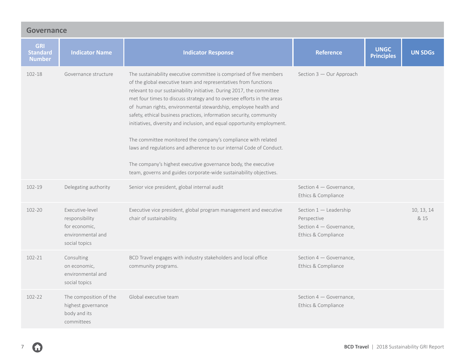<span id="page-6-0"></span>

| <b>Governance</b>                              |                                                                                          |                                                                                                                                                                                                                                                                                                                                                                                                                                                                                                                                                                                                                                                                                                                                                                                                |                                                                                         |                                  |                    |  |  |
|------------------------------------------------|------------------------------------------------------------------------------------------|------------------------------------------------------------------------------------------------------------------------------------------------------------------------------------------------------------------------------------------------------------------------------------------------------------------------------------------------------------------------------------------------------------------------------------------------------------------------------------------------------------------------------------------------------------------------------------------------------------------------------------------------------------------------------------------------------------------------------------------------------------------------------------------------|-----------------------------------------------------------------------------------------|----------------------------------|--------------------|--|--|
| <b>GRI</b><br><b>Standard</b><br><b>Number</b> | <b>Indicator Name</b>                                                                    | <b>Indicator Response</b>                                                                                                                                                                                                                                                                                                                                                                                                                                                                                                                                                                                                                                                                                                                                                                      | <b>Reference</b>                                                                        | <b>UNGC</b><br><b>Principles</b> | <b>UN SDGs</b>     |  |  |
| 102-18                                         | Governance structure                                                                     | The sustainability executive committee is comprised of five members<br>of the global executive team and representatives from functions<br>relevant to our sustainability initiative. During 2017, the committee<br>met four times to discuss strategy and to oversee efforts in the areas<br>of human rights, environmental stewardship, employee health and<br>safety, ethical business practices, information security, community<br>initiatives, diversity and inclusion, and equal opportunity employment.<br>The committee monitored the company's compliance with related<br>laws and regulations and adherence to our internal Code of Conduct.<br>The company's highest executive governance body, the executive<br>team, governs and guides corporate-wide sustainability objectives. | Section 3 - Our Approach                                                                |                                  |                    |  |  |
| 102-19                                         | Delegating authority                                                                     | Senior vice president, global internal audit                                                                                                                                                                                                                                                                                                                                                                                                                                                                                                                                                                                                                                                                                                                                                   | Section 4 - Governance,<br>Ethics & Compliance                                          |                                  |                    |  |  |
| 102-20                                         | Executive-level<br>responsibility<br>for economic,<br>environmental and<br>social topics | Executive vice president, global program management and executive<br>chair of sustainability.                                                                                                                                                                                                                                                                                                                                                                                                                                                                                                                                                                                                                                                                                                  | Section 1 - Leadership<br>Perspective<br>Section 4 - Governance,<br>Ethics & Compliance |                                  | 10, 13, 14<br>& 15 |  |  |
| 102-21                                         | Consulting<br>on economic,<br>environmental and<br>social topics                         | BCD Travel engages with industry stakeholders and local office<br>community programs.                                                                                                                                                                                                                                                                                                                                                                                                                                                                                                                                                                                                                                                                                                          | Section 4 - Governance,<br>Ethics & Compliance                                          |                                  |                    |  |  |
| 102-22                                         | The composition of the<br>highest governance<br>body and its<br>committees               | Global executive team                                                                                                                                                                                                                                                                                                                                                                                                                                                                                                                                                                                                                                                                                                                                                                          | Section 4 - Governance,<br>Ethics & Compliance                                          |                                  |                    |  |  |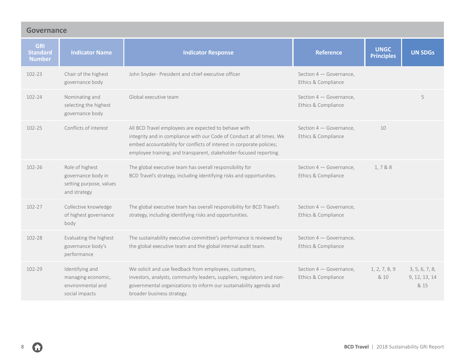| <b>Governance</b>                              |                                                                                  |                                                                                                                                                                                                                                                                              |                                                |                                  |                                         |  |  |
|------------------------------------------------|----------------------------------------------------------------------------------|------------------------------------------------------------------------------------------------------------------------------------------------------------------------------------------------------------------------------------------------------------------------------|------------------------------------------------|----------------------------------|-----------------------------------------|--|--|
| <b>GRI</b><br><b>Standard</b><br><b>Number</b> | <b>Indicator Name</b>                                                            | <b>Indicator Response</b>                                                                                                                                                                                                                                                    | <b>Reference</b>                               | <b>UNGC</b><br><b>Principles</b> | <b>UN SDGs</b>                          |  |  |
| 102-23                                         | Chair of the highest<br>governance body                                          | John Snyder- President and chief executive officer                                                                                                                                                                                                                           | Section 4 - Governance,<br>Ethics & Compliance |                                  |                                         |  |  |
| 102-24                                         | Nominating and<br>selecting the highest<br>governance body                       | Global executive team                                                                                                                                                                                                                                                        | Section 4 - Governance,<br>Ethics & Compliance |                                  | 5                                       |  |  |
| 102-25                                         | Conflicts of interest                                                            | All BCD Travel employees are expected to behave with<br>integrity and in compliance with our Code of Conduct at all times. We<br>embed accountability for conflicts of interest in corporate policies;<br>employee training; and transparent, stakeholder-focused reporting. | Section 4 - Governance,<br>Ethics & Compliance | 10                               |                                         |  |  |
| 102-26                                         | Role of highest<br>governance body in<br>setting purpose, values<br>and strategy | The global executive team has overall responsibility for<br>BCD Travel's strategy, including identifying risks and opportunities.                                                                                                                                            | Section 4 - Governance,<br>Ethics & Compliance | 1,7&8                            |                                         |  |  |
| 102-27                                         | Collective knowledge<br>of highest governance<br>body                            | The global executive team has overall responsibility for BCD Travel's<br>strategy, including identifying risks and opportunities.                                                                                                                                            | Section 4 - Governance,<br>Ethics & Compliance |                                  |                                         |  |  |
| 102-28                                         | Evaluating the highest<br>governance body's<br>performance                       | The sustainability executive committee's performance is reviewed by<br>the global executive team and the global internal audit team.                                                                                                                                         | Section 4 - Governance,<br>Ethics & Compliance |                                  |                                         |  |  |
| 102-29                                         | Identifying and<br>managing economic,<br>environmental and<br>social impacts     | We solicit and use feedback from employees, customers,<br>investors, analysts, community leaders, suppliers, regulators and non-<br>governmental organizations to inform our sustainability agenda and<br>broader business strategy.                                         | Section 4 - Governance,<br>Ethics & Compliance | 1, 2, 7, 8, 9<br>& 10            | 3, 5, 6, 7, 8,<br>9, 12, 13, 14<br>& 15 |  |  |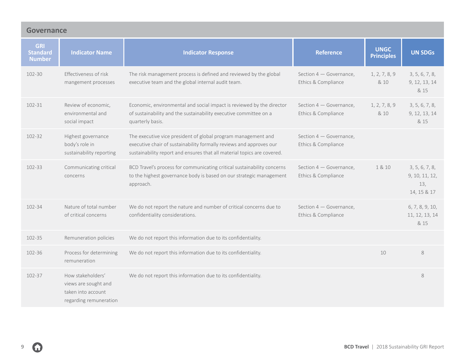| <b>Governance</b>                              |                                                                                           |                                                                                                                                                                                                                 |                                                |                                  |                                                        |  |  |
|------------------------------------------------|-------------------------------------------------------------------------------------------|-----------------------------------------------------------------------------------------------------------------------------------------------------------------------------------------------------------------|------------------------------------------------|----------------------------------|--------------------------------------------------------|--|--|
| <b>GRI</b><br><b>Standard</b><br><b>Number</b> | <b>Indicator Name</b>                                                                     | <b>Indicator Response</b>                                                                                                                                                                                       | <b>Reference</b>                               | <b>UNGC</b><br><b>Principles</b> | <b>UN SDGs</b>                                         |  |  |
| $102 - 30$                                     | Effectiveness of risk<br>mangement processes                                              | The risk management process is defined and reviewed by the global<br>executive team and the global internal audit team.                                                                                         | Section 4 - Governance,<br>Ethics & Compliance | 1, 2, 7, 8, 9<br>& 10            | 3, 5, 6, 7, 8,<br>9, 12, 13, 14<br>& 15                |  |  |
| $102 - 31$                                     | Review of economic,<br>environmental and<br>social impact                                 | Economic, environmental and social impact is reviewed by the director<br>of sustainability and the sustainability executive committee on a<br>quarterly basis.                                                  | Section 4 - Governance,<br>Ethics & Compliance | 1, 2, 7, 8, 9<br>& 10            | 3, 5, 6, 7, 8,<br>9, 12, 13, 14<br>& 15                |  |  |
| 102-32                                         | Highest governance<br>body's role in<br>sustainability reporting                          | The executive vice president of global program management and<br>executive chair of sustainability formally reviews and approves our<br>sustainability report and ensures that all material topics are covered. | Section 4 - Governance,<br>Ethics & Compliance |                                  |                                                        |  |  |
| 102-33                                         | Communicating critical<br>concerns                                                        | BCD Travel's process for communicating critical sustainability concerns<br>to the highest governance body is based on our strategic management<br>approach.                                                     | Section 4 - Governance,<br>Ethics & Compliance | 1 & 10                           | 3, 5, 6, 7, 8,<br>9, 10, 11, 12,<br>13,<br>14, 15 & 17 |  |  |
| 102-34                                         | Nature of total number<br>of critical concerns                                            | We do not report the nature and number of critical concerns due to<br>confidentiality considerations.                                                                                                           | Section 4 - Governance,<br>Ethics & Compliance |                                  | 6, 7, 8, 9, 10,<br>11, 12, 13, 14<br>& 15              |  |  |
| 102-35                                         | Remuneration policies                                                                     | We do not report this information due to its confidentiality.                                                                                                                                                   |                                                |                                  |                                                        |  |  |
| 102-36                                         | Process for determining<br>remuneration                                                   | We do not report this information due to its confidentiality.                                                                                                                                                   |                                                | 10                               | 8                                                      |  |  |
| 102-37                                         | How stakeholders'<br>views are sought and<br>taken into account<br>regarding remuneration | We do not report this information due to its confidentiality.                                                                                                                                                   |                                                |                                  | 8                                                      |  |  |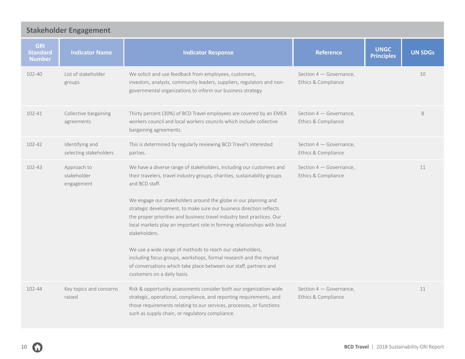<span id="page-9-0"></span>

| <b>Stakeholder Engagement</b>                  |                                           |                                                                                                                                                                                                                                                                                                               |                                                  |                                  |                |  |  |  |
|------------------------------------------------|-------------------------------------------|---------------------------------------------------------------------------------------------------------------------------------------------------------------------------------------------------------------------------------------------------------------------------------------------------------------|--------------------------------------------------|----------------------------------|----------------|--|--|--|
| <b>GRI</b><br><b>Standard</b><br><b>Number</b> | <b>Indicator Name</b>                     | <b>Indicator Response</b>                                                                                                                                                                                                                                                                                     | <b>Reference</b>                                 | <b>UNGC</b><br><b>Principles</b> | <b>UN SDGs</b> |  |  |  |
| 102-40                                         | List of stakeholder<br>groups             | We solicit and use feedback from employees, customers,<br>investors, analysts, community leaders, suppliers, regulators and non-<br>governmental organizations to inform our business strategy.                                                                                                               | Section 4 – Governance,<br>Ethics & Compliance   |                                  | 10             |  |  |  |
| 102-41                                         | Collective bargaining<br>agreements       | Thirty percent (30%) of BCD Travel employees are covered by an EMEA<br>workers council and local workers councils which include collective<br>bargaining agreements.                                                                                                                                          | Section $4 -$ Governance,<br>Ethics & Compliance |                                  | $\,8\,$        |  |  |  |
| 102-42                                         | Identifying and<br>selecting stakeholders | This is determined by regularly reviewing BCD Travel's interested<br>parties.                                                                                                                                                                                                                                 | Section 4 - Governance,<br>Ethics & Compliance   |                                  |                |  |  |  |
| 102-43                                         | Approach to<br>stakeholder<br>engagement  | We have a diverse range of stakeholders, including our customers and<br>their travelers, travel industry groups, charities, sustainability groups<br>and BCD staff.                                                                                                                                           | Section 4 - Governance,<br>Ethics & Compliance   |                                  | 11             |  |  |  |
|                                                |                                           | We engage our stakeholders around the globe in our planning and<br>strategic development, to make sure our business direction reflects<br>the proper priorities and business travel industry best practices. Our<br>local markets play an important role in forming relationships with local<br>stakeholders. |                                                  |                                  |                |  |  |  |
|                                                |                                           | We use a wide range of methods to reach our stakeholders,<br>including focus groups, workshops, formal research and the myriad<br>of conversations which take place between our staff, partners and<br>customers on a daily basis.                                                                            |                                                  |                                  |                |  |  |  |
| $102 - 44$                                     | Key topics and concerns<br>raised         | Risk & opportunity assessments consider both our organization-wide<br>strategic, operational, compliance, and reporting requirements, and<br>those requirements relating to our services, processes, or functions<br>such as supply chain, or regulatory compliance.                                          | Section 4 – Governance,<br>Ethics & Compliance   |                                  | 11             |  |  |  |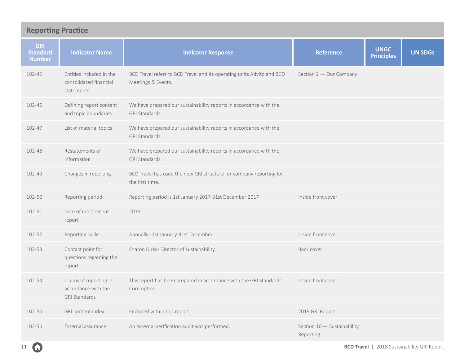<span id="page-10-0"></span>

| <b>Reporting Practice</b>                      |                                                                       |                                                                                              |                                          |                                  |                |  |  |
|------------------------------------------------|-----------------------------------------------------------------------|----------------------------------------------------------------------------------------------|------------------------------------------|----------------------------------|----------------|--|--|
| <b>GRI</b><br><b>Standard</b><br><b>Number</b> | <b>Indicator Name</b>                                                 | <b>Indicator Response</b>                                                                    | <b>Reference</b>                         | <b>UNGC</b><br><b>Principles</b> | <b>UN SDGs</b> |  |  |
| 102-45                                         | Entities included in the<br>consolidated financial<br>statements      | BCD Travel refers to BCD Travel and its operating units Advito and BCD<br>Meetings & Events. | Section 2 - Our Company                  |                                  |                |  |  |
| 102-46                                         | Defining report content<br>and topic boundaries                       | We have prepared our sustainability reports in accordance with the<br>GRI Standards.         |                                          |                                  |                |  |  |
| 102-47                                         | List of material topics                                               | We have prepared our sustainability reports in accordance with the<br>GRI Standards.         |                                          |                                  |                |  |  |
| 102-48                                         | Restatements of<br>information                                        | We have prepared our sustainability reports in accordance with the<br>GRI Standards.         |                                          |                                  |                |  |  |
| 102-49                                         | Changes in reporting                                                  | BCD Travel has used the new GRI structure for company reporting for<br>the first time.       |                                          |                                  |                |  |  |
| 102-50                                         | Reporting period                                                      | Reporting period is 1st January 2017-31st December 2017                                      | Inside front cover                       |                                  |                |  |  |
| 102-51                                         | Date of most recent<br>report                                         | 2018                                                                                         |                                          |                                  |                |  |  |
| 102-52                                         | Reporting cycle                                                       | Annually- 1st January-31st December                                                          | Inside front cover                       |                                  |                |  |  |
| 102-53                                         | Contact point for<br>questions regarding the<br>report                | Sharon Dirks- Director of sustainability                                                     | Back cover                               |                                  |                |  |  |
| 102-54                                         | Claims of reporting in<br>accordance with the<br><b>GRI Standards</b> | This report has been prepared in accordance with the GRI Standards:<br>Core option.          | Inside front cover                       |                                  |                |  |  |
| 102-55                                         | GRI content index                                                     | Enclosed within this report.                                                                 | 2018 GRI Report                          |                                  |                |  |  |
| 102-56                                         | External assurance                                                    | An external verification audit was performed.                                                | Section 10 - Sustainability<br>Reporting |                                  |                |  |  |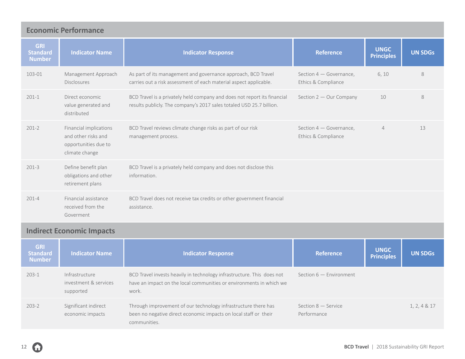<span id="page-11-0"></span>

| <b>Economic Performance</b>                    |                                                                                         |                                                                                                                                                  |                                                |                                  |                |  |  |  |
|------------------------------------------------|-----------------------------------------------------------------------------------------|--------------------------------------------------------------------------------------------------------------------------------------------------|------------------------------------------------|----------------------------------|----------------|--|--|--|
| <b>GRI</b><br><b>Standard</b><br><b>Number</b> | <b>Indicator Name</b>                                                                   | <b>Indicator Response</b>                                                                                                                        | <b>Reference</b>                               | <b>UNGC</b><br><b>Principles</b> | <b>UN SDGs</b> |  |  |  |
| 103-01                                         | Management Approach<br><b>Disclosures</b>                                               | As part of its management and governance approach, BCD Travel<br>carries out a risk assessment of each material aspect applicable.               | Section 4 - Governance,<br>Ethics & Compliance | 6, 10                            | 8              |  |  |  |
| $201 - 1$                                      | Direct economic<br>value generated and<br>distributed                                   | BCD Travel is a privately held company and does not report its financial<br>results publicly. The company's 2017 sales totaled USD 25.7 billion. | Section 2 - Our Company                        | 10                               | 8              |  |  |  |
| $201 - 2$                                      | Financial implications<br>and other risks and<br>opportunities due to<br>climate change | BCD Travel reviews climate change risks as part of our risk<br>management process.                                                               | Section 4 - Governance,<br>Ethics & Compliance | $\overline{4}$                   | 13             |  |  |  |
| $201 - 3$                                      | Define benefit plan<br>obligations and other<br>retirement plans                        | BCD Travel is a privately held company and does not disclose this<br>information.                                                                |                                                |                                  |                |  |  |  |
| $201 - 4$                                      | Financial assistance<br>received from the<br>Goverment                                  | BCD Travel does not receive tax credits or other government financial<br>assistance.                                                             |                                                |                                  |                |  |  |  |
|                                                | <b>Indirect Economic Impacts</b>                                                        |                                                                                                                                                  |                                                |                                  |                |  |  |  |

| <b>GRI</b><br><b>Standard</b><br><b>Number</b> | <b>Indicator Name</b>                                | <b>Indicator Response</b>                                                                                                                              | <b>Reference</b>                     | <b>UNGC</b><br><b>Principles</b> | <b>UN SDGs</b> |
|------------------------------------------------|------------------------------------------------------|--------------------------------------------------------------------------------------------------------------------------------------------------------|--------------------------------------|----------------------------------|----------------|
| $203 - 1$                                      | Infrastructure<br>investment & services<br>supported | BCD Travel invests heavily in technology infrastructure. This does not<br>have an impact on the local communities or environments in which we<br>work. | Section $6$ - Environment            |                                  |                |
| $203 - 2$                                      | Significant indirect<br>economic impacts             | Through improvement of our technology infrastructure there has<br>been no negative direct economic impacts on local staff or their<br>communities.     | Section $8 -$ Service<br>Performance |                                  | 1, 2, 4 & 17   |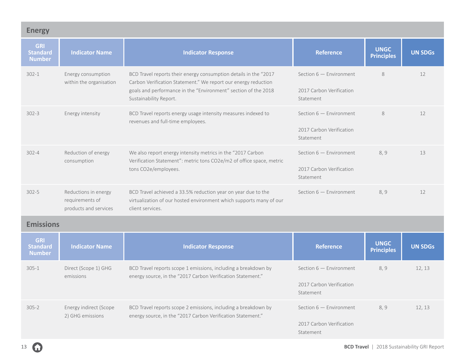<span id="page-12-0"></span>

| <b>Energy</b>                                  |                                                                  |                                                                                                                                                                                                                                |                                                                    |                                  |                |
|------------------------------------------------|------------------------------------------------------------------|--------------------------------------------------------------------------------------------------------------------------------------------------------------------------------------------------------------------------------|--------------------------------------------------------------------|----------------------------------|----------------|
| <b>GRI</b><br><b>Standard</b><br><b>Number</b> | <b>Indicator Name</b>                                            | <b>Indicator Response</b>                                                                                                                                                                                                      | <b>Reference</b>                                                   | <b>UNGC</b><br><b>Principles</b> | <b>UN SDGs</b> |
| $302 - 1$                                      | Energy consumption<br>within the organisation                    | BCD Travel reports their energy consumption details in the "2017<br>Carbon Verification Statement." We report our energy reduction<br>goals and performance in the "Environment" section of the 2018<br>Sustainability Report. | Section $6$ - Environment<br>2017 Carbon Verification<br>Statement | 8                                | 12             |
| $302 - 3$                                      | Energy intensity                                                 | BCD Travel reports energy usage intensity measures indexed to<br>revenues and full-time employees.                                                                                                                             | Section $6$ - Environment<br>2017 Carbon Verification<br>Statement | 8                                | 12             |
| $302 - 4$                                      | Reduction of energy<br>consumption                               | We also report energy intensity metrics in the "2017 Carbon<br>Verification Statement": metric tons CO2e/m2 of office space, metric<br>tons CO2e/employees.                                                                    | Section $6$ - Environment<br>2017 Carbon Verification<br>Statement | 8,9                              | 13             |
| $302 - 5$                                      | Reductions in energy<br>requirements of<br>products and services | BCD Travel achieved a 33.5% reduction year on year due to the<br>virtualization of our hosted environment which supports many of our<br>client services.                                                                       | Section $6$ - Environment                                          | 8,9                              | 12             |
| <b>Emissions</b>                               |                                                                  |                                                                                                                                                                                                                                |                                                                    |                                  |                |
| <b>GRI</b><br><b>Standard</b><br><b>Number</b> | <b>Indicator Name</b>                                            | <b>Indicator Response</b>                                                                                                                                                                                                      | <b>Reference</b>                                                   | <b>UNGC</b><br><b>Principles</b> | <b>UN SDGs</b> |
| $305 - 1$                                      | Direct (Scope 1) GHG<br>emissions                                | BCD Travel reports scope 1 emissions, including a breakdown by<br>energy source, in the "2017 Carbon Verification Statement."                                                                                                  | Section $6$ - Environment<br>2017 Carbon Verification<br>Statement | 8, 9                             | 12, 13         |
| $305 - 2$                                      | Energy indirect (Scope<br>2) GHG emissions                       | BCD Travel reports scope 2 emissions, including a breakdown by<br>energy source, in the "2017 Carbon Verification Statement."                                                                                                  | Section $6$ - Environment<br>2017 Carbon Verification<br>Statement | 8, 9                             | 12, 13         |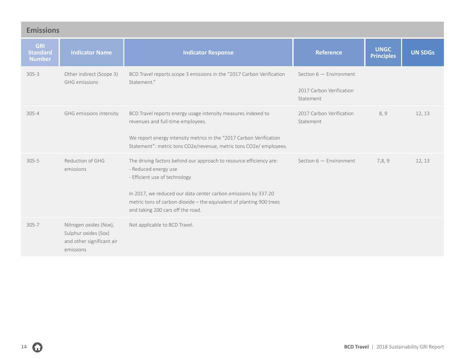| <b>Emissions</b>                               |                                                                                          |                                                                                                                                                                                                                                                                                                             |                                                                    |                                  |                |  |  |
|------------------------------------------------|------------------------------------------------------------------------------------------|-------------------------------------------------------------------------------------------------------------------------------------------------------------------------------------------------------------------------------------------------------------------------------------------------------------|--------------------------------------------------------------------|----------------------------------|----------------|--|--|
| <b>GRI</b><br><b>Standard</b><br><b>Number</b> | <b>Indicator Name</b>                                                                    | <b>Indicator Response</b>                                                                                                                                                                                                                                                                                   | <b>Reference</b>                                                   | <b>UNGC</b><br><b>Principles</b> | <b>UN SDGs</b> |  |  |
| $305 - 3$                                      | Other indirect (Scope 3)<br><b>GHG</b> emissions                                         | BCD Travel reports scope 3 emissions in the "2017 Carbon Verification<br>Statement."                                                                                                                                                                                                                        | Section $6$ - Environment<br>2017 Carbon Verification<br>Statement |                                  |                |  |  |
| $305 - 4$                                      | GHG emissions intensity                                                                  | BCD Travel reports energy usage intensity measures indexed to<br>revenues and full-time employees.<br>We report energy intensity metrics in the "2017 Carbon Verification<br>Statement": metric tons CO2e/revenue, metric tons CO2e/ employees.                                                             | 2017 Carbon Verification<br>Statement                              | 8,9                              | 12, 13         |  |  |
| $305 - 5$                                      | Reduction of GHG<br>emissions                                                            | The driving factors behind our approach to resource efficiency are:<br>- Reduced energy use<br>- Efficient use of technology<br>In 2017, we reduced our data center carbon emissions by 337.20<br>metric tons of carbon dioxide - the equivalent of planting 900 trees<br>and taking 200 cars off the road. | Section $6$ - Environment                                          | 7,8,9                            | 12, 13         |  |  |
| $305 - 7$                                      | Nitrogen oxides (Nox),<br>Sulphur oxides (Sox)<br>and other significant air<br>emissions | Not applicable to BCD Travel.                                                                                                                                                                                                                                                                               |                                                                    |                                  |                |  |  |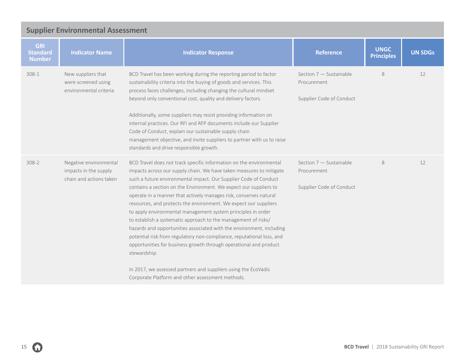<span id="page-14-0"></span>

| <b>Supplier Environmental Assessment</b>       |                                                                            |                                                                                                                                                                                                                                                                                                                                                                                                                                                                                                                                                                                                                                                                                                                                                                                                                                                                                                                            |                                                                    |                                  |                |  |  |
|------------------------------------------------|----------------------------------------------------------------------------|----------------------------------------------------------------------------------------------------------------------------------------------------------------------------------------------------------------------------------------------------------------------------------------------------------------------------------------------------------------------------------------------------------------------------------------------------------------------------------------------------------------------------------------------------------------------------------------------------------------------------------------------------------------------------------------------------------------------------------------------------------------------------------------------------------------------------------------------------------------------------------------------------------------------------|--------------------------------------------------------------------|----------------------------------|----------------|--|--|
| <b>GRI</b><br><b>Standard</b><br><b>Number</b> | <b>Indicator Name</b>                                                      | <b>Indicator Response</b>                                                                                                                                                                                                                                                                                                                                                                                                                                                                                                                                                                                                                                                                                                                                                                                                                                                                                                  | <b>Reference</b>                                                   | <b>UNGC</b><br><b>Principles</b> | <b>UN SDGs</b> |  |  |
| 308-1                                          | New suppliers that<br>were screened using<br>environmental criteria        | BCD Travel has been working during the reporting period to factor<br>sustainability criteria into the buying of goods and services. This<br>process faces challenges, including changing the cultural mindset<br>beyond only conventional cost, quality and delivery factors.<br>Additionally, some suppliers may resist providing information on<br>internal practices. Our RFI and RFP documents include our Supplier<br>Code of Conduct, explain our sustainable supply chain<br>management objective, and invite suppliers to partner with us to raise<br>standards and drive responsible growth.                                                                                                                                                                                                                                                                                                                      | Section 7 - Sustainable<br>Procurement<br>Supplier Code of Conduct | 8                                | 12             |  |  |
| 308-2                                          | Negative environmental<br>impacts in the supply<br>chain and actions taken | BCD Travel does not track specific information on the environmental<br>impacts across our supply chain. We have taken measures to mitigate<br>such a future environmental impact. Our Supplier Code of Conduct<br>contains a section on the Environment. We expect our suppliers to<br>operate in a manner that actively manages risk, conserves natural<br>resources, and protects the environment. We expect our suppliers<br>to apply environmental management system principles in order<br>to establish a systematic approach to the management of risks/<br>hazards and opportunities associated with the environment, including<br>potential risk from regulatory non-compliance, reputational loss, and<br>opportunities for business growth through operational and product<br>stewardship.<br>In 2017, we assessed partners and suppliers using the EcoVadis<br>Corporate Platform and other assessment methods. | Section 7 - Sustainable<br>Procurement<br>Supplier Code of Conduct | 8                                | 12             |  |  |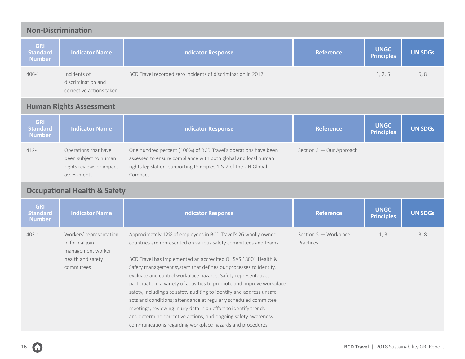<span id="page-15-0"></span>

| <b>Non-Discrimination</b>                      |                                                                                                    |                                                                                                                                                                                                                                                                                                                                                                                                                                                                                                                                                                                                                                                                                                                                                                       |                                    |                                  |                |  |  |
|------------------------------------------------|----------------------------------------------------------------------------------------------------|-----------------------------------------------------------------------------------------------------------------------------------------------------------------------------------------------------------------------------------------------------------------------------------------------------------------------------------------------------------------------------------------------------------------------------------------------------------------------------------------------------------------------------------------------------------------------------------------------------------------------------------------------------------------------------------------------------------------------------------------------------------------------|------------------------------------|----------------------------------|----------------|--|--|
| <b>GRI</b><br><b>Standard</b><br><b>Number</b> | <b>Indicator Name</b>                                                                              | <b>Indicator Response</b>                                                                                                                                                                                                                                                                                                                                                                                                                                                                                                                                                                                                                                                                                                                                             | <b>Reference</b>                   | <b>UNGC</b><br><b>Principles</b> | <b>UN SDGs</b> |  |  |
| 406-1                                          | Incidents of<br>discrimination and<br>corrective actions taken                                     | BCD Travel recorded zero incidents of discrimination in 2017.                                                                                                                                                                                                                                                                                                                                                                                                                                                                                                                                                                                                                                                                                                         |                                    | 1, 2, 6                          | 5, 8           |  |  |
|                                                | <b>Human Rights Assessment</b>                                                                     |                                                                                                                                                                                                                                                                                                                                                                                                                                                                                                                                                                                                                                                                                                                                                                       |                                    |                                  |                |  |  |
| <b>GRI</b><br><b>Standard</b><br><b>Number</b> | <b>Indicator Name</b>                                                                              | <b>Indicator Response</b>                                                                                                                                                                                                                                                                                                                                                                                                                                                                                                                                                                                                                                                                                                                                             | <b>Reference</b>                   | <b>UNGC</b><br><b>Principles</b> | <b>UN SDGs</b> |  |  |
| $412 - 1$                                      | Operations that have<br>been subject to human<br>rights reviews or impact<br>assessments           | One hundred percent (100%) of BCD Travel's operations have been<br>assessed to ensure compliance with both global and local human<br>rights legislation, supporting Principles 1 & 2 of the UN Global<br>Compact.                                                                                                                                                                                                                                                                                                                                                                                                                                                                                                                                                     | Section 3 - Our Approach           |                                  |                |  |  |
|                                                | <b>Occupational Health &amp; Safety</b>                                                            |                                                                                                                                                                                                                                                                                                                                                                                                                                                                                                                                                                                                                                                                                                                                                                       |                                    |                                  |                |  |  |
| <b>GRI</b><br><b>Standard</b><br><b>Number</b> | <b>Indicator Name</b>                                                                              | <b>Indicator Response</b>                                                                                                                                                                                                                                                                                                                                                                                                                                                                                                                                                                                                                                                                                                                                             | <b>Reference</b>                   | <b>UNGC</b><br><b>Principles</b> | <b>UN SDGs</b> |  |  |
| $403 - 1$                                      | Workers' representation<br>in formal joint<br>management worker<br>health and safety<br>committees | Approximately 12% of employees in BCD Travel's 26 wholly owned<br>countries are represented on various safety committees and teams.<br>BCD Travel has implemented an accredited OHSAS 18001 Health &<br>Safety management system that defines our processes to identify,<br>evaluate and control workplace hazards. Safety representatives<br>participate in a variety of activities to promote and improve workplace<br>safety, including site safety auditing to identify and address unsafe<br>acts and conditions; attendance at regularly scheduled committee<br>meetings; reviewing injury data in an effort to identify trends<br>and determine corrective actions; and ongoing safety awareness<br>communications regarding workplace hazards and procedures. | Section 5 - Workplace<br>Practices | 1, 3                             | 3, 8           |  |  |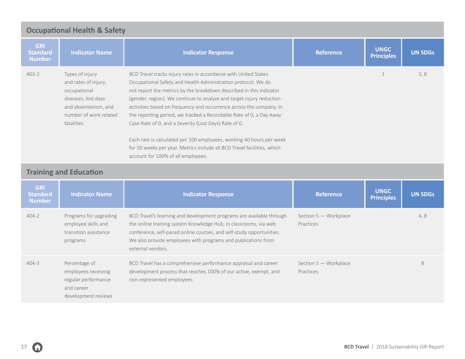<span id="page-16-0"></span>

| <b>Occupational Health &amp; Safety</b>        |                                                                                                                                                |                                                                                                                                                                                                                                                                                                                                                                                                                                                                                                                                                                                                                                                                                 |                  |                                  |                |  |  |
|------------------------------------------------|------------------------------------------------------------------------------------------------------------------------------------------------|---------------------------------------------------------------------------------------------------------------------------------------------------------------------------------------------------------------------------------------------------------------------------------------------------------------------------------------------------------------------------------------------------------------------------------------------------------------------------------------------------------------------------------------------------------------------------------------------------------------------------------------------------------------------------------|------------------|----------------------------------|----------------|--|--|
| <b>GRI</b><br><b>Standard</b><br><b>Number</b> | <b>Indicator Name</b>                                                                                                                          | <b>Indicator Response</b>                                                                                                                                                                                                                                                                                                                                                                                                                                                                                                                                                                                                                                                       | <b>Reference</b> | <b>UNGC</b><br><b>Principles</b> | <b>UN SDGs</b> |  |  |
| $403 - 2$                                      | Types of injury<br>and rates of injury,<br>occupational<br>diseases, lost days<br>and absenteeism, and<br>number of work related<br>fatalities | BCD Travel tracks injury rates in accordance with United States<br>Occupational Safety and Health Administration protocol. We do<br>not report the metrics by the breakdown described in this indicator<br>(gender, region). We continue to analyze and target injury reduction<br>activities based on frequency and occurrence across the company. In<br>the reporting period, we tracked a Recordable Rate of 0, a Day Away<br>Case Rate of 0, and a Severity (Lost Days) Rate of 0.<br>Each rate is calculated per 100 employees, working 40 hours per week<br>for 50 weeks per year. Metrics include all BCD Travel facilities, which<br>account for 100% of all employees. |                  |                                  | 3, 8           |  |  |
| <b>Training and Education</b>                  |                                                                                                                                                |                                                                                                                                                                                                                                                                                                                                                                                                                                                                                                                                                                                                                                                                                 |                  |                                  |                |  |  |
| <b>GRI</b><br><b>Standard</b><br><b>Numbor</b> | <b>Indicator Name</b>                                                                                                                          | <b>Indicator Response</b>                                                                                                                                                                                                                                                                                                                                                                                                                                                                                                                                                                                                                                                       | <b>Reference</b> | <b>UNGC</b><br><b>Principles</b> | <b>UN SDGs</b> |  |  |

| <b>Number</b> |                                                                                                  |                                                                                                                                                                                                                                                                                                        |                                    | <b>Principles</b> |     |
|---------------|--------------------------------------------------------------------------------------------------|--------------------------------------------------------------------------------------------------------------------------------------------------------------------------------------------------------------------------------------------------------------------------------------------------------|------------------------------------|-------------------|-----|
| $404 - 2$     | Programs for upgrading<br>employee skills and<br>transition assistance<br>programs               | BCD Travel's learning and development programs are available through<br>the online training system Knowledge Hub, in classrooms, via web<br>conference, self-paced online courses, and self-study opportunities.<br>We also provide employees with programs and publications from<br>external vendors. | Section 5 - Workplace<br>Practices |                   | 4,8 |
| 404-3         | Percentage of<br>employees receiving<br>regular performance<br>and career<br>development reviews | BCD Travel has a comprehensive performance appraisal and career<br>development process that reaches 100% of our active, exempt, and<br>non-represented employees.                                                                                                                                      | Section 5 - Workplace<br>Practices |                   | 8   |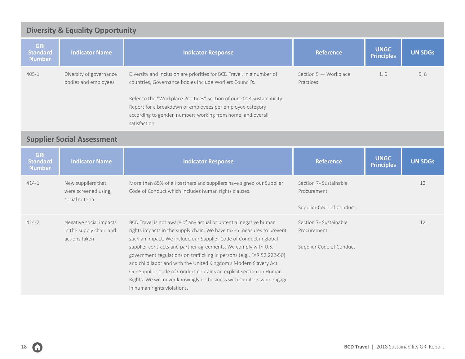<span id="page-17-0"></span>

| <b>Diversity &amp; Equality Opportunity</b>    |                                                              |                                                                                                                                                                                                                                                                                                                                                        |                                                                   |                                  |                |  |  |  |
|------------------------------------------------|--------------------------------------------------------------|--------------------------------------------------------------------------------------------------------------------------------------------------------------------------------------------------------------------------------------------------------------------------------------------------------------------------------------------------------|-------------------------------------------------------------------|----------------------------------|----------------|--|--|--|
| <b>GRI</b><br><b>Standard</b><br><b>Number</b> | <b>Indicator Name</b>                                        | <b>Indicator Response</b>                                                                                                                                                                                                                                                                                                                              | <b>Reference</b>                                                  | <b>UNGC</b><br><b>Principles</b> | <b>UN SDGs</b> |  |  |  |
| $405 - 1$                                      | Diversity of governance<br>bodies and employees              | Diversity and Inclusion are priorities for BCD Travel. In a number of<br>countries, Governance bodies include Workers Council's.<br>Refer to the "Workplace Practices" section of our 2018 Sustainability<br>Report for a breakdown of employees per employee category<br>according to gender, numbers working from home, and overall<br>satisfaction. | Section 5 - Workplace<br>Practices                                | 1,6                              | 5, 8           |  |  |  |
|                                                | <b>Supplier Social Assessment</b>                            |                                                                                                                                                                                                                                                                                                                                                        |                                                                   |                                  |                |  |  |  |
| <b>GRI</b><br><b>Standard</b><br><b>Number</b> | <b>Indicator Name</b>                                        | <b>Indicator Response</b>                                                                                                                                                                                                                                                                                                                              | <b>Reference</b>                                                  | <b>UNGC</b><br><b>Principles</b> | <b>UN SDGs</b> |  |  |  |
|                                                |                                                              |                                                                                                                                                                                                                                                                                                                                                        |                                                                   |                                  |                |  |  |  |
| $414 - 1$                                      | New suppliers that<br>were screened using<br>social criteria | More than 85% of all partners and suppliers have signed our Supplier<br>Code of Conduct which includes human rights clauses.                                                                                                                                                                                                                           | Section 7- Sustainable<br>Procurement<br>Supplier Code of Conduct |                                  | 12             |  |  |  |